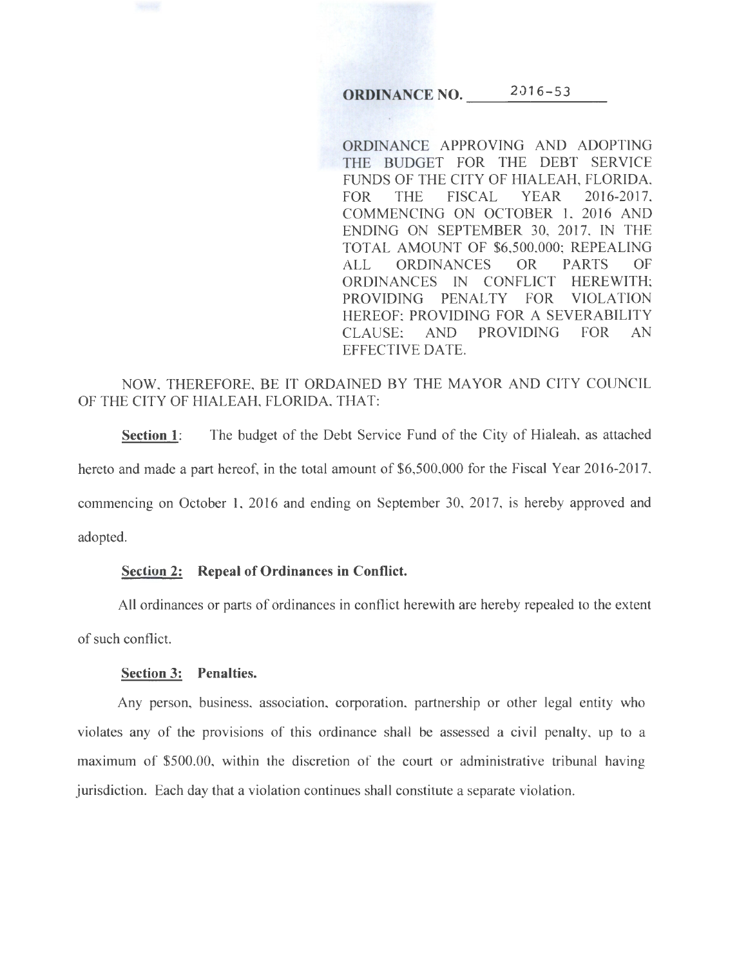# **ORDINANCE NO.**  $2016-53$

ORDINANCE APPROVING AND ADOPTING THE BUDGET FOR THE DEBT SERVICE FUNDS OF THE CITY OF HIALEAH, FLORIDA, FOR THE FISCAL YEAR 2016-2017, COMMENCING ON OCTOBER 1, 2016 AND ENDING ON SEPTEMBER 30, 2017, IN THE TOTAL AMOUNT OF \$6,500,000; REPEALING ALL ORDINANCES OR PARTS OF ORDINANCES IN CONFLICT HEREWITH; PROVIDING PENALTY FOR VIOLATION HEREOF; PROVIDING FOR A SEVERABILITY CLAUSE; AND PROVIDING FOR AN EFFECTIVE DATE.

NOW, THEREFORE, BE IT ORDAINED BY THE MAYOR AND CITY COUNCIL OF THE CITY OF HIALEAH, FLORIDA, THAT:

**Section 1:** The budget of the Debt Service Fund of the City of Hialeah, as attached hereto and made a part hereof, in the total amount of \$6,500,000 for the Fiscal Year 2016-2017, commencing on October 1, 2016 and ending on September 30, 2017, is hereby approved and adopted.

#### **Section 2: Repeal of Ordinances in Conflict.**

All ordinances or parts of ordinances in conflict herewith are hereby repealed to the extent of such conflict.

### **Section 3: Penalties.**

Any person, business, association, corporation, partnership or other legal entity who violates any of the provisions of this ordinance shall be assessed a civil penalty, up to a maximum of \$500.00, within the discretion of the court or administrative tribunal having jurisdiction. Each day that a violation continues shall constitute a separate violation.